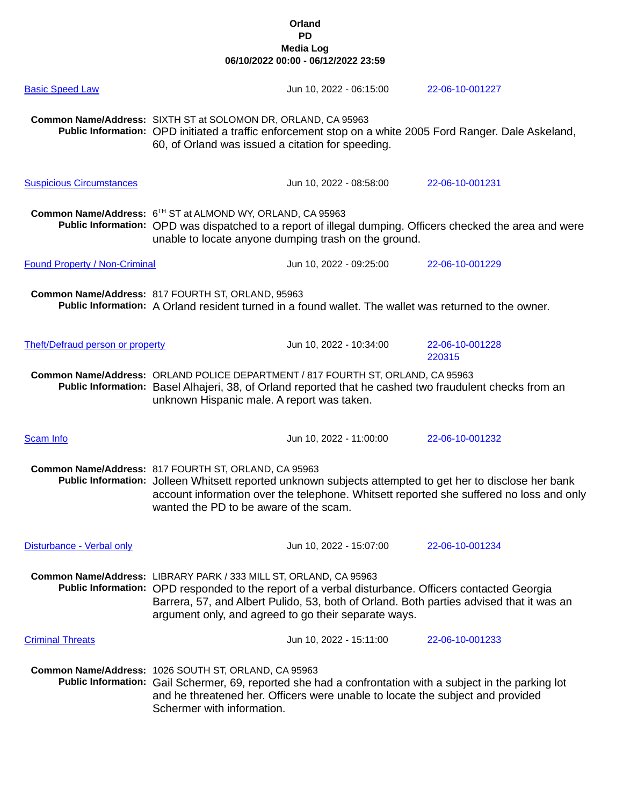| <b>Basic Speed Law</b>                  |                                                                                                                                                                                                                                                                                                                             | Jun 10, 2022 - 06:15:00                                                                               | 22-06-10-001227                                                                                                                                                                                     |
|-----------------------------------------|-----------------------------------------------------------------------------------------------------------------------------------------------------------------------------------------------------------------------------------------------------------------------------------------------------------------------------|-------------------------------------------------------------------------------------------------------|-----------------------------------------------------------------------------------------------------------------------------------------------------------------------------------------------------|
|                                         | Common Name/Address: SIXTH ST at SOLOMON DR, ORLAND, CA 95963<br>60, of Orland was issued a citation for speeding.                                                                                                                                                                                                          |                                                                                                       | Public Information: OPD initiated a traffic enforcement stop on a white 2005 Ford Ranger. Dale Askeland,                                                                                            |
| <b>Suspicious Circumstances</b>         |                                                                                                                                                                                                                                                                                                                             | Jun 10, 2022 - 08:58:00                                                                               | 22-06-10-001231                                                                                                                                                                                     |
|                                         | Common Name/Address: 6TH ST at ALMOND WY, ORLAND, CA 95963                                                                                                                                                                                                                                                                  | unable to locate anyone dumping trash on the ground.                                                  | Public Information: OPD was dispatched to a report of illegal dumping. Officers checked the area and were                                                                                           |
| <b>Found Property / Non-Criminal</b>    |                                                                                                                                                                                                                                                                                                                             | Jun 10, 2022 - 09:25:00                                                                               | 22-06-10-001229                                                                                                                                                                                     |
|                                         | Common Name/Address: 817 FOURTH ST, ORLAND, 95963                                                                                                                                                                                                                                                                           | Public Information: A Orland resident turned in a found wallet. The wallet was returned to the owner. |                                                                                                                                                                                                     |
| <b>Theft/Defraud person or property</b> |                                                                                                                                                                                                                                                                                                                             | Jun 10, 2022 - 10:34:00                                                                               | 22-06-10-001228<br>220315                                                                                                                                                                           |
|                                         | Common Name/Address: ORLAND POLICE DEPARTMENT / 817 FOURTH ST, ORLAND, CA 95963<br>Public Information: Basel Alhajeri, 38, of Orland reported that he cashed two fraudulent checks from an<br>unknown Hispanic male. A report was taken.                                                                                    |                                                                                                       |                                                                                                                                                                                                     |
| <b>Scam Info</b>                        |                                                                                                                                                                                                                                                                                                                             | Jun 10, 2022 - 11:00:00                                                                               | 22-06-10-001232                                                                                                                                                                                     |
|                                         | Common Name/Address: 817 FOURTH ST, ORLAND, CA 95963<br>wanted the PD to be aware of the scam.                                                                                                                                                                                                                              |                                                                                                       | Public Information: Jolleen Whitsett reported unknown subjects attempted to get her to disclose her bank<br>account information over the telephone. Whitsett reported she suffered no loss and only |
| Disturbance - Verbal only               |                                                                                                                                                                                                                                                                                                                             | Jun 10, 2022 - 15:07:00                                                                               | 22-06-10-001234                                                                                                                                                                                     |
|                                         | Common Name/Address: LIBRARY PARK / 333 MILL ST, ORLAND, CA 95963<br>Public Information: OPD responded to the report of a verbal disturbance. Officers contacted Georgia<br>Barrera, 57, and Albert Pulido, 53, both of Orland. Both parties advised that it was an<br>argument only, and agreed to go their separate ways. |                                                                                                       |                                                                                                                                                                                                     |
| <b>Criminal Threats</b>                 |                                                                                                                                                                                                                                                                                                                             | Jun 10, 2022 - 15:11:00                                                                               | 22-06-10-001233                                                                                                                                                                                     |
|                                         | Common Name/Address: 1026 SOUTH ST, ORLAND, CA 95963<br>Public Information: Gail Schermer, 69, reported she had a confrontation with a subject in the parking lot<br>and he threatened her. Officers were unable to locate the subject and provided<br>Schermer with information.                                           |                                                                                                       |                                                                                                                                                                                                     |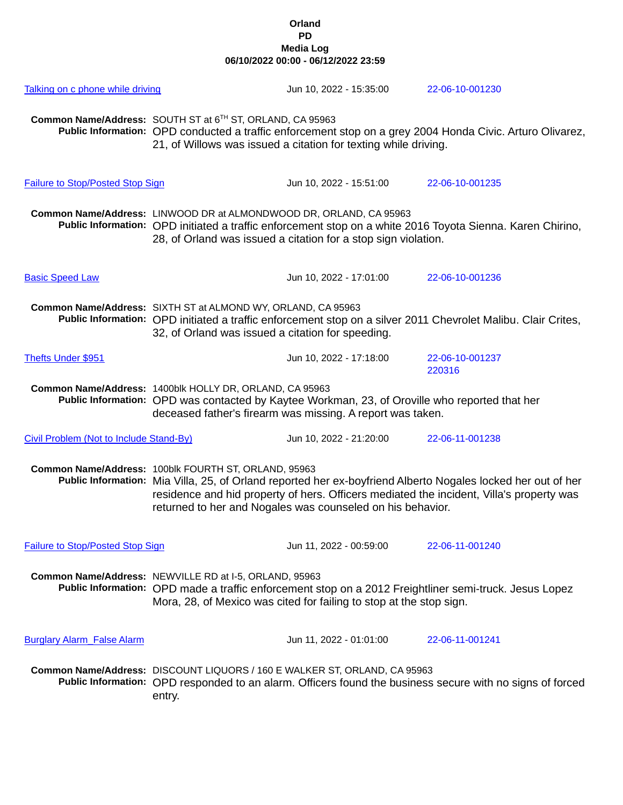| Talking on c phone while driving        |                                                                                                                   | Jun 10, 2022 - 15:35:00                                                                                                                                      | 22-06-10-001230                                                                                                                                                                                          |
|-----------------------------------------|-------------------------------------------------------------------------------------------------------------------|--------------------------------------------------------------------------------------------------------------------------------------------------------------|----------------------------------------------------------------------------------------------------------------------------------------------------------------------------------------------------------|
|                                         | Common Name/Address: SOUTH ST at 6 <sup>TH</sup> ST, ORLAND, CA 95963                                             | 21, of Willows was issued a citation for texting while driving.                                                                                              | Public Information: OPD conducted a traffic enforcement stop on a grey 2004 Honda Civic. Arturo Olivarez,                                                                                                |
| <b>Failure to Stop/Posted Stop Sign</b> |                                                                                                                   | Jun 10, 2022 - 15:51:00                                                                                                                                      | 22-06-10-001235                                                                                                                                                                                          |
|                                         | Common Name/Address: LINWOOD DR at ALMONDWOOD DR, ORLAND, CA 95963                                                | 28, of Orland was issued a citation for a stop sign violation.                                                                                               | Public Information: OPD initiated a traffic enforcement stop on a white 2016 Toyota Sienna. Karen Chirino,                                                                                               |
| <b>Basic Speed Law</b>                  |                                                                                                                   | Jun 10, 2022 - 17:01:00                                                                                                                                      | 22-06-10-001236                                                                                                                                                                                          |
|                                         | Common Name/Address: SIXTH ST at ALMOND WY, ORLAND, CA 95963<br>32, of Orland was issued a citation for speeding. |                                                                                                                                                              | Public Information: OPD initiated a traffic enforcement stop on a silver 2011 Chevrolet Malibu. Clair Crites,                                                                                            |
| <b>Thefts Under \$951</b>               |                                                                                                                   | Jun 10, 2022 - 17:18:00                                                                                                                                      | 22-06-10-001237<br>220316                                                                                                                                                                                |
|                                         | Common Name/Address: 1400blk HOLLY DR, ORLAND, CA 95963                                                           | Public Information: OPD was contacted by Kaytee Workman, 23, of Oroville who reported that her<br>deceased father's firearm was missing. A report was taken. |                                                                                                                                                                                                          |
| Civil Problem (Not to Include Stand-By) |                                                                                                                   | Jun 10, 2022 - 21:20:00                                                                                                                                      | 22-06-11-001238                                                                                                                                                                                          |
|                                         | Common Name/Address: 100blk FOURTH ST, ORLAND, 95963                                                              | returned to her and Nogales was counseled on his behavior.                                                                                                   | Public Information: Mia Villa, 25, of Orland reported her ex-boyfriend Alberto Nogales locked her out of her<br>residence and hid property of hers. Officers mediated the incident, Villa's property was |
| <b>Failure to Stop/Posted Stop Sign</b> |                                                                                                                   | Jun 11, 2022 - 00:59:00                                                                                                                                      | 22-06-11-001240                                                                                                                                                                                          |
|                                         | Common Name/Address: NEWVILLE RD at I-5, ORLAND, 95963                                                            | Mora, 28, of Mexico was cited for failing to stop at the stop sign.                                                                                          | Public Information: OPD made a traffic enforcement stop on a 2012 Freightliner semi-truck. Jesus Lopez                                                                                                   |
| <b>Burglary Alarm False Alarm</b>       |                                                                                                                   | Jun 11, 2022 - 01:01:00                                                                                                                                      | 22-06-11-001241                                                                                                                                                                                          |
|                                         | entry.                                                                                                            | Common Name/Address: DISCOUNT LIQUORS / 160 E WALKER ST, ORLAND, CA 95963                                                                                    | Public Information: OPD responded to an alarm. Officers found the business secure with no signs of forced                                                                                                |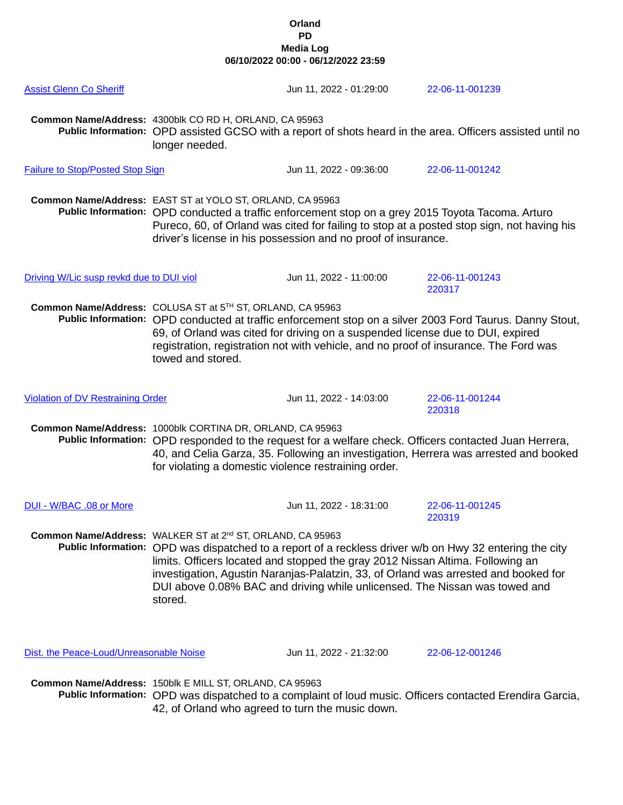| <b>Assist Glenn Co Sheriff</b>           |                                                                                                                                                                                                                                                                                                                                                                                                                                                     | Jun 11, 2022 - 01:29:00 | 22-06-11-001239                                                                                            |
|------------------------------------------|-----------------------------------------------------------------------------------------------------------------------------------------------------------------------------------------------------------------------------------------------------------------------------------------------------------------------------------------------------------------------------------------------------------------------------------------------------|-------------------------|------------------------------------------------------------------------------------------------------------|
|                                          | Common Name/Address: 4300blk CO RD H, ORLAND, CA 95963<br>longer needed.                                                                                                                                                                                                                                                                                                                                                                            |                         | Public Information: OPD assisted GCSO with a report of shots heard in the area. Officers assisted until no |
| <b>Failure to Stop/Posted Stop Sign</b>  |                                                                                                                                                                                                                                                                                                                                                                                                                                                     | Jun 11, 2022 - 09:36:00 | 22-06-11-001242                                                                                            |
|                                          | Common Name/Address: EAST ST at YOLO ST, ORLAND, CA 95963<br>Public Information: OPD conducted a traffic enforcement stop on a grey 2015 Toyota Tacoma. Arturo<br>Pureco, 60, of Orland was cited for failing to stop at a posted stop sign, not having his<br>driver's license in his possession and no proof of insurance.                                                                                                                        |                         |                                                                                                            |
| Driving W/Lic susp revkd due to DUI viol |                                                                                                                                                                                                                                                                                                                                                                                                                                                     | Jun 11, 2022 - 11:00:00 | 22-06-11-001243<br>220317                                                                                  |
|                                          | Common Name/Address: COLUSA ST at 5TH ST, ORLAND, CA 95963<br>Public Information: OPD conducted at traffic enforcement stop on a silver 2003 Ford Taurus. Danny Stout,<br>69, of Orland was cited for driving on a suspended license due to DUI, expired<br>registration, registration not with vehicle, and no proof of insurance. The Ford was<br>towed and stored.                                                                               |                         |                                                                                                            |
| <b>Violation of DV Restraining Order</b> |                                                                                                                                                                                                                                                                                                                                                                                                                                                     | Jun 11, 2022 - 14:03:00 | 22-06-11-001244<br>220318                                                                                  |
|                                          | Common Name/Address: 1000blk CORTINA DR, ORLAND, CA 95963<br>Public Information: OPD responded to the request for a welfare check. Officers contacted Juan Herrera,<br>40, and Celia Garza, 35. Following an investigation, Herrera was arrested and booked<br>for violating a domestic violence restraining order.                                                                                                                                 |                         |                                                                                                            |
| DUI - W/BAC .08 or More                  |                                                                                                                                                                                                                                                                                                                                                                                                                                                     | Jun 11, 2022 - 18:31:00 | 22-06-11-001245<br>220319                                                                                  |
|                                          | Common Name/Address: WALKER ST at 2 <sup>nd</sup> ST, ORLAND, CA 95963<br>Public Information: OPD was dispatched to a report of a reckless driver w/b on Hwy 32 entering the city<br>limits. Officers located and stopped the gray 2012 Nissan Altima. Following an<br>investigation, Agustin Naranjas-Palatzin, 33, of Orland was arrested and booked for<br>DUI above 0.08% BAC and driving while unlicensed. The Nissan was towed and<br>stored. |                         |                                                                                                            |
| Dist. the Peace-Loud/Unreasonable Noise  |                                                                                                                                                                                                                                                                                                                                                                                                                                                     | Jun 11, 2022 - 21:32:00 | 22-06-12-001246                                                                                            |
|                                          | Common Name/Address: 150blk E MILL ST, ORLAND, CA 95963                                                                                                                                                                                                                                                                                                                                                                                             |                         |                                                                                                            |

**Public Information:** OPD was dispatched to a complaint of loud music. Officers contacted Erendira Garcia, 42, of Orland who agreed to turn the music down.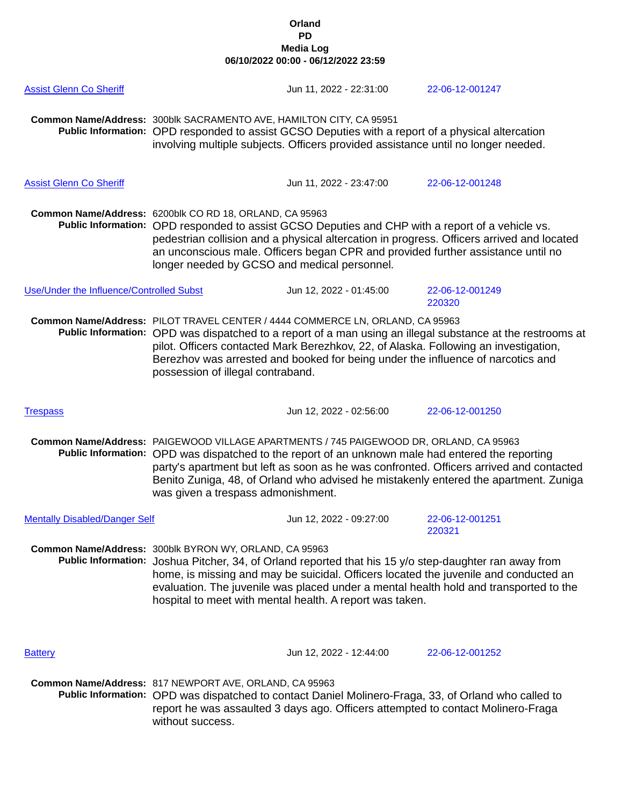| <b>Assist Glenn Co Sheriff</b>           |                                                                                                                                                                                                                                                                                                                                                                                                                      | Jun 11, 2022 - 22:31:00 | 22-06-12-001247           |
|------------------------------------------|----------------------------------------------------------------------------------------------------------------------------------------------------------------------------------------------------------------------------------------------------------------------------------------------------------------------------------------------------------------------------------------------------------------------|-------------------------|---------------------------|
|                                          | Common Name/Address: 300blk SACRAMENTO AVE, HAMILTON CITY, CA 95951<br>Public Information: OPD responded to assist GCSO Deputies with a report of a physical altercation<br>involving multiple subjects. Officers provided assistance until no longer needed.                                                                                                                                                        |                         |                           |
| <b>Assist Glenn Co Sheriff</b>           |                                                                                                                                                                                                                                                                                                                                                                                                                      | Jun 11, 2022 - 23:47:00 | 22-06-12-001248           |
|                                          | Common Name/Address: 6200blk CO RD 18, ORLAND, CA 95963<br>Public Information: OPD responded to assist GCSO Deputies and CHP with a report of a vehicle vs.<br>pedestrian collision and a physical altercation in progress. Officers arrived and located<br>an unconscious male. Officers began CPR and provided further assistance until no<br>longer needed by GCSO and medical personnel.                         |                         |                           |
| Use/Under the Influence/Controlled Subst |                                                                                                                                                                                                                                                                                                                                                                                                                      | Jun 12, 2022 - 01:45:00 | 22-06-12-001249<br>220320 |
|                                          | Common Name/Address: PILOT TRAVEL CENTER / 4444 COMMERCE LN, ORLAND, CA 95963<br>Public Information: OPD was dispatched to a report of a man using an illegal substance at the restrooms at<br>pilot. Officers contacted Mark Berezhkov, 22, of Alaska. Following an investigation,<br>Berezhov was arrested and booked for being under the influence of narcotics and<br>possession of illegal contraband.          |                         |                           |
| <b>Trespass</b>                          |                                                                                                                                                                                                                                                                                                                                                                                                                      | Jun 12, 2022 - 02:56:00 | 22-06-12-001250           |
|                                          | Common Name/Address: PAIGEWOOD VILLAGE APARTMENTS / 745 PAIGEWOOD DR, ORLAND, CA 95963<br>Public Information: OPD was dispatched to the report of an unknown male had entered the reporting<br>party's apartment but left as soon as he was confronted. Officers arrived and contacted<br>Benito Zuniga, 48, of Orland who advised he mistakenly entered the apartment. Zuniga<br>was given a trespass admonishment. |                         |                           |
| <b>Mentally Disabled/Danger Self</b>     |                                                                                                                                                                                                                                                                                                                                                                                                                      | Jun 12, 2022 - 09:27:00 | 22-06-12-001251<br>220321 |
|                                          | Common Name/Address: 300blk BYRON WY, ORLAND, CA 95963<br>Public Information: Joshua Pitcher, 34, of Orland reported that his 15 y/o step-daughter ran away from<br>home, is missing and may be suicidal. Officers located the juvenile and conducted an<br>evaluation. The juvenile was placed under a mental health hold and transported to the<br>hospital to meet with mental health. A report was taken.        |                         |                           |
| <b>Battery</b>                           |                                                                                                                                                                                                                                                                                                                                                                                                                      | Jun 12, 2022 - 12:44:00 | 22-06-12-001252           |
|                                          | Common Name/Address: 817 NEWPORT AVE, ORLAND, CA 95963<br>Public Information: OPD was dispatched to contact Daniel Molinero-Fraga, 33, of Orland who called to<br>report he was assaulted 3 days ago. Officers attempted to contact Molinero-Fraga<br>without success.                                                                                                                                               |                         |                           |